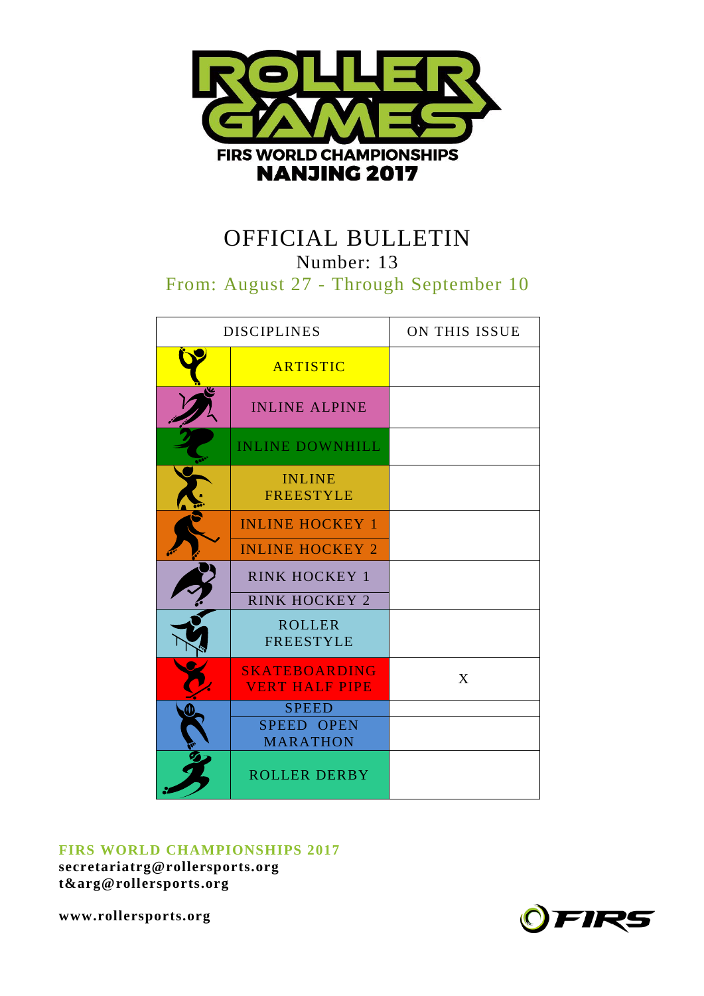

# OFFICIAL BULLETIN

Number: 13

From: August 27 - Through September 10

| <b>DISCIPLINES</b> |                                                  | ON THIS ISSUE |
|--------------------|--------------------------------------------------|---------------|
|                    | <b>ARTISTIC</b>                                  |               |
|                    | <b>INLINE ALPINE</b>                             |               |
|                    | <b>INLINE DOWNHILL</b>                           |               |
|                    | <b>INLINE</b><br><b>FREESTYLE</b>                |               |
|                    | <b>INLINE HOCKEY 1</b><br><b>INLINE HOCKEY 2</b> |               |
|                    | <b>RINK HOCKEY 1</b><br><b>RINK HOCKEY 2</b>     |               |
|                    | <b>ROLLER</b><br><b>FREESTYLE</b>                |               |
|                    | <b>SKATEBOARDING</b><br><b>VERT HALF PIPE</b>    | X             |
|                    | <b>SPEED</b><br>SPEED OPEN<br><b>MARATHON</b>    |               |
|                    | <b>ROLLER DERBY</b>                              |               |

## **FIRS WORLD CHAMPIONSHIPS 2017**

**secretariatrg@rollersports.org [t&arg@rollersports.org](mailto:t&arg@rollersports.org)**

**www.rollersports.org**

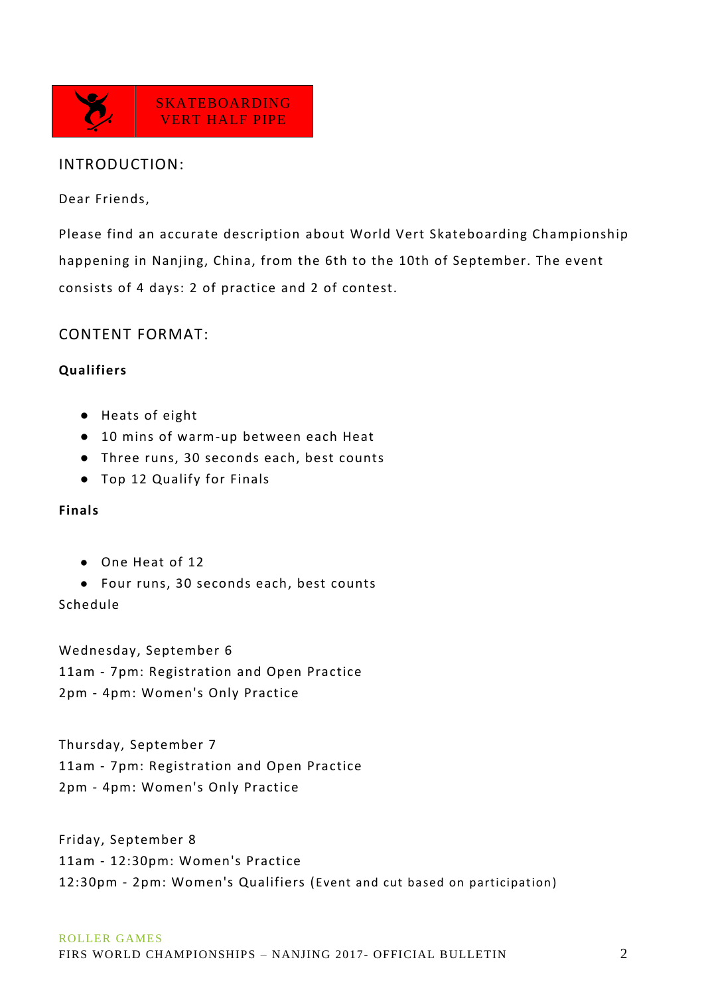

## INTRODUCTION:

Dear Friends,

Please find an accurate description about World Vert Skateboarding Championship happening in Nanjing, China, from the 6th to the 10th of September. The event consists of 4 days: 2 of practice and 2 of contest.

CONTENT FORMAT:

## **Qualifiers**

- Heats of eight
- 10 mins of warm-up between each Heat
- Three runs, 30 seconds each, best counts
- Top 12 Qualify for Finals

## **Finals**

- One Heat of 12
- Four runs, 30 seconds each, best counts

Schedule

Wednesday, September 6 11am - 7pm: Registration and Open Practice 2pm - 4pm: Women's Only Practice

Thursday, September 7 11am - 7pm: Registration and Open Practice 2pm - 4pm: Women's Only Practice

Friday, September 8 11am - 12:30pm: Women's Practice 12:30pm - 2pm: Women's Qualifiers (Event and cut based on participation)